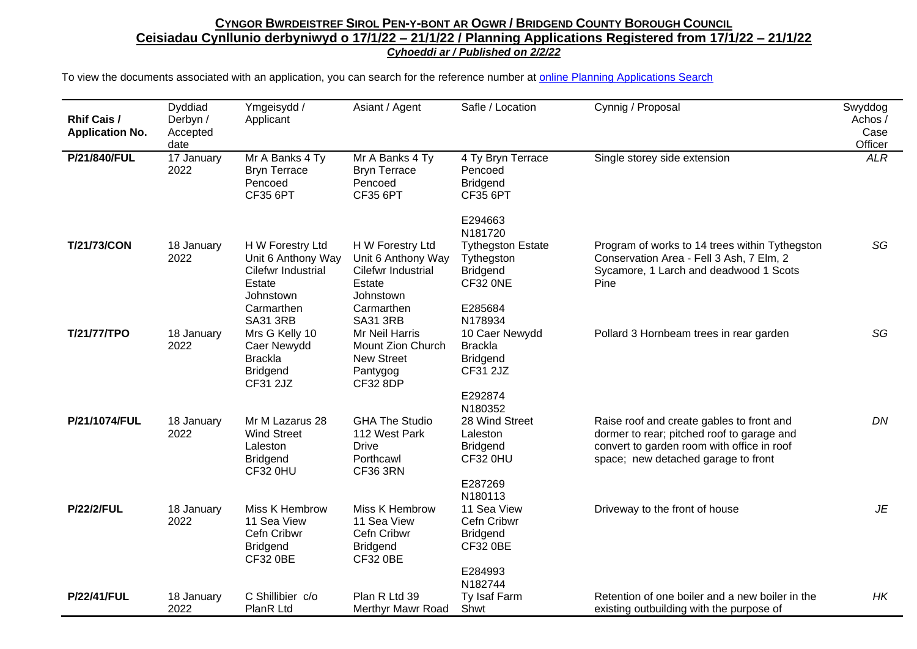| <b>Rhif Cais /</b><br><b>Application No.</b> | Dyddiad<br>Derbyn /<br>Accepted<br>date | Ymgeisydd /<br>Applicant                                                                                             | Asiant / Agent                                                                                                       | Safle / Location                                                                            | Cynnig / Proposal                                                                                                                                                            | Swyddog<br>Achos /<br>Case<br>Officer |
|----------------------------------------------|-----------------------------------------|----------------------------------------------------------------------------------------------------------------------|----------------------------------------------------------------------------------------------------------------------|---------------------------------------------------------------------------------------------|------------------------------------------------------------------------------------------------------------------------------------------------------------------------------|---------------------------------------|
| P/21/840/FUL                                 | 17 January<br>2022                      | Mr A Banks 4 Ty<br><b>Bryn Terrace</b><br>Pencoed<br><b>CF35 6PT</b>                                                 | Mr A Banks 4 Ty<br><b>Bryn Terrace</b><br>Pencoed<br><b>CF35 6PT</b>                                                 | 4 Ty Bryn Terrace<br>Pencoed<br>Bridgend<br><b>CF35 6PT</b>                                 | Single storey side extension                                                                                                                                                 | <b>ALR</b>                            |
|                                              |                                         |                                                                                                                      |                                                                                                                      | E294663<br>N181720                                                                          |                                                                                                                                                                              |                                       |
| <b>T/21/73/CON</b>                           | 18 January<br>2022                      | H W Forestry Ltd<br>Unit 6 Anthony Way<br>Cilefwr Industrial<br>Estate<br>Johnstown<br>Carmarthen<br><b>SA31 3RB</b> | H W Forestry Ltd<br>Unit 6 Anthony Way<br>Cilefwr Industrial<br>Estate<br>Johnstown<br>Carmarthen<br><b>SA31 3RB</b> | <b>Tythegston Estate</b><br>Tythegston<br><b>Bridgend</b><br>CF32 ONE<br>E285684<br>N178934 | Program of works to 14 trees within Tythegston<br>Conservation Area - Fell 3 Ash, 7 Elm, 2<br>Sycamore, 1 Larch and deadwood 1 Scots<br>Pine                                 | SG                                    |
| T/21/77/TPO                                  | 18 January<br>2022                      | Mrs G Kelly 10<br>Caer Newydd<br><b>Brackla</b><br><b>Bridgend</b><br>CF31 2JZ                                       | Mr Neil Harris<br>Mount Zion Church<br>New Street<br>Pantygog<br>CF32 8DP                                            | 10 Caer Newydd<br><b>Brackla</b><br><b>Bridgend</b><br>CF31 2JZ<br>E292874<br>N180352       | Pollard 3 Hornbeam trees in rear garden                                                                                                                                      | SG                                    |
| P/21/1074/FUL                                | 18 January<br>2022                      | Mr M Lazarus 28<br><b>Wind Street</b><br>Laleston<br><b>Bridgend</b><br>CF32 0HU                                     | <b>GHA The Studio</b><br>112 West Park<br><b>Drive</b><br>Porthcawl<br><b>CF36 3RN</b>                               | 28 Wind Street<br>Laleston<br><b>Bridgend</b><br>CF32 0HU<br>E287269<br>N180113             | Raise roof and create gables to front and<br>dormer to rear; pitched roof to garage and<br>convert to garden room with office in roof<br>space; new detached garage to front | DN                                    |
| <b>P/22/2/FUL</b>                            | 18 January<br>2022                      | Miss K Hembrow<br>11 Sea View<br>Cefn Cribwr<br><b>Bridgend</b><br><b>CF32 0BE</b>                                   | Miss K Hembrow<br>11 Sea View<br>Cefn Cribwr<br><b>Bridgend</b><br><b>CF32 0BE</b>                                   | 11 Sea View<br>Cefn Cribwr<br><b>Bridgend</b><br><b>CF32 0BE</b><br>E284993<br>N182744      | Driveway to the front of house                                                                                                                                               | JE                                    |
| <b>P/22/41/FUL</b>                           | 18 January<br>2022                      | C Shillibier c/o<br>PlanR Ltd                                                                                        | Plan R Ltd 39<br>Merthyr Mawr Road                                                                                   | Ty Isaf Farm<br>Shwt                                                                        | Retention of one boiler and a new boiler in the<br>existing outbuilding with the purpose of                                                                                  | HK                                    |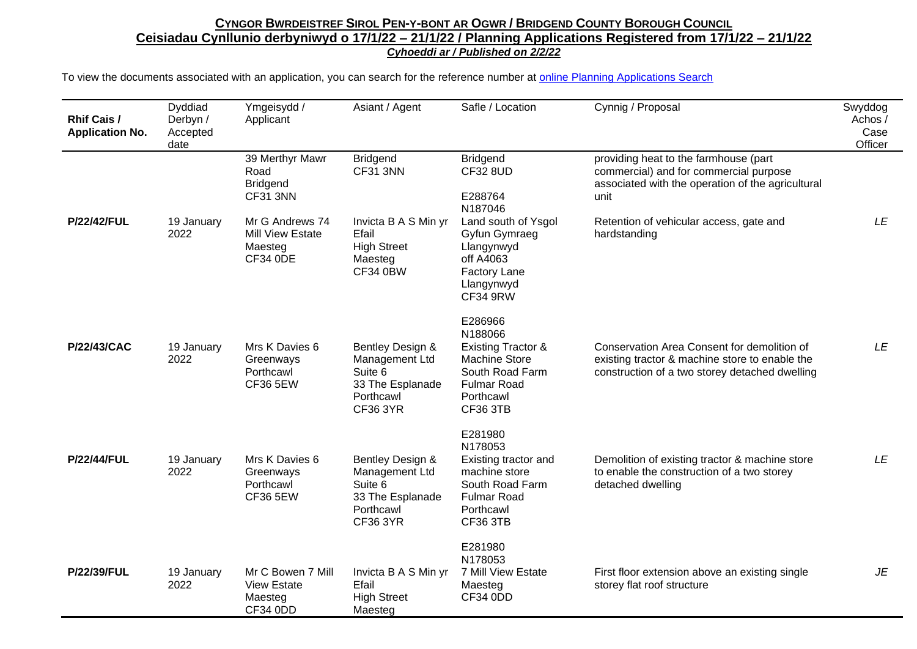| <b>Rhif Cais /</b><br><b>Application No.</b> | Dyddiad<br>Derbyn /<br>Accepted<br>date | Ymgeisydd /<br>Applicant                                                 | Asiant / Agent                                                                                    | Safle / Location                                                                                                                                     | Cynnig / Proposal                                                                                                                               | Swyddog<br>Achos/<br>Case<br>Officer |
|----------------------------------------------|-----------------------------------------|--------------------------------------------------------------------------|---------------------------------------------------------------------------------------------------|------------------------------------------------------------------------------------------------------------------------------------------------------|-------------------------------------------------------------------------------------------------------------------------------------------------|--------------------------------------|
|                                              |                                         | 39 Merthyr Mawr<br>Road<br><b>Bridgend</b><br><b>CF31 3NN</b>            | <b>Bridgend</b><br>CF31 3NN                                                                       | <b>Bridgend</b><br><b>CF32 8UD</b><br>E288764<br>N187046                                                                                             | providing heat to the farmhouse (part<br>commercial) and for commercial purpose<br>associated with the operation of the agricultural<br>unit    |                                      |
| <b>P/22/42/FUL</b>                           | 19 January<br>2022                      | Mr G Andrews 74<br><b>Mill View Estate</b><br>Maesteg<br><b>CF34 0DE</b> | Invicta B A S Min yr<br>Efail<br><b>High Street</b><br>Maesteg<br><b>CF34 0BW</b>                 | Land south of Ysgol<br>Gyfun Gymraeg<br>Llangynwyd<br>off A4063<br><b>Factory Lane</b><br>Llangynwyd<br><b>CF34 9RW</b>                              | Retention of vehicular access, gate and<br>hardstanding                                                                                         | LE                                   |
| P/22/43/CAC                                  | 19 January<br>2022                      | Mrs K Davies 6<br>Greenways<br>Porthcawl<br><b>CF36 5EW</b>              | Bentley Design &<br>Management Ltd<br>Suite 6<br>33 The Esplanade<br>Porthcawl<br><b>CF36 3YR</b> | E286966<br>N188066<br><b>Existing Tractor &amp;</b><br><b>Machine Store</b><br>South Road Farm<br><b>Fulmar Road</b><br>Porthcawl<br><b>CF36 3TB</b> | Conservation Area Consent for demolition of<br>existing tractor & machine store to enable the<br>construction of a two storey detached dwelling | LE                                   |
| <b>P/22/44/FUL</b>                           | 19 January<br>2022                      | Mrs K Davies 6<br>Greenways<br>Porthcawl<br><b>CF36 5EW</b>              | Bentley Design &<br>Management Ltd<br>Suite 6<br>33 The Esplanade<br>Porthcawl<br><b>CF36 3YR</b> | E281980<br>N178053<br>Existing tractor and<br>machine store<br>South Road Farm<br><b>Fulmar Road</b><br>Porthcawl<br><b>CF36 3TB</b>                 | Demolition of existing tractor & machine store<br>to enable the construction of a two storey<br>detached dwelling                               | LE                                   |
| P/22/39/FUL                                  | 19 January<br>2022                      | Mr C Bowen 7 Mill<br><b>View Estate</b><br>Maesteg<br>CF34 0DD           | Invicta B A S Min yr<br>Efail<br><b>High Street</b><br>Maesteg                                    | E281980<br>N178053<br>7 Mill View Estate<br>Maesteg<br><b>CF34 0DD</b>                                                                               | First floor extension above an existing single<br>storey flat roof structure                                                                    | JE                                   |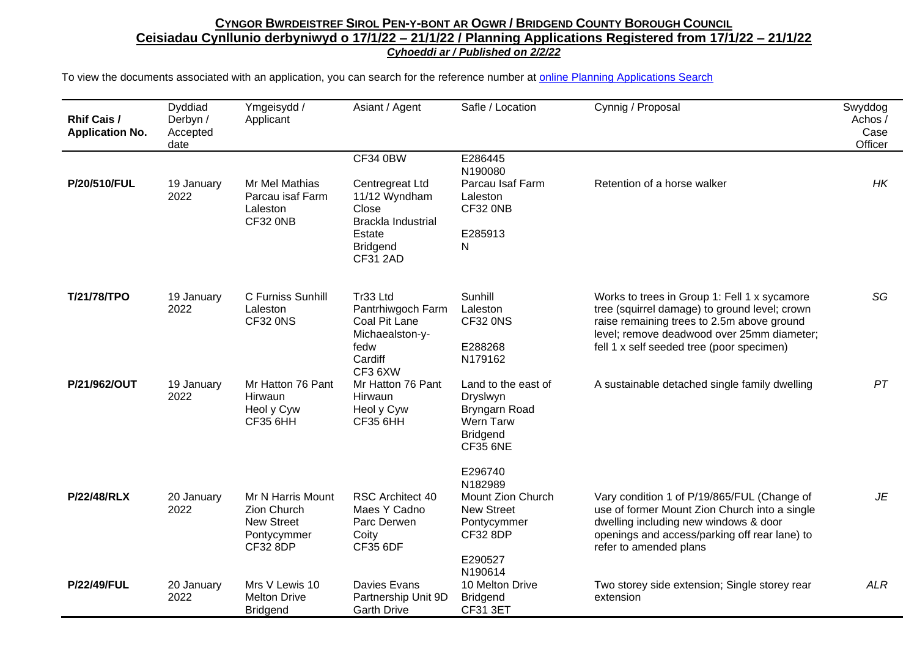| <b>Rhif Cais /</b><br><b>Application No.</b> | Dyddiad<br>Derbyn /<br>Accepted<br>date | Ymgeisydd /<br>Applicant                                                                | Asiant / Agent                                                                                  | Safle / Location                                                                                                     | Cynnig / Proposal                                                                                                                                                                                                                      | Swyddog<br>Achos /<br>Case<br>Officer |
|----------------------------------------------|-----------------------------------------|-----------------------------------------------------------------------------------------|-------------------------------------------------------------------------------------------------|----------------------------------------------------------------------------------------------------------------------|----------------------------------------------------------------------------------------------------------------------------------------------------------------------------------------------------------------------------------------|---------------------------------------|
| P/20/510/FUL                                 | 19 January                              | Mr Mel Mathias                                                                          | <b>CF34 0BW</b><br>Centregreat Ltd                                                              | E286445<br>N190080<br>Parcau Isaf Farm                                                                               | Retention of a horse walker                                                                                                                                                                                                            | HK                                    |
|                                              | 2022                                    | Parcau isaf Farm<br>Laleston<br>CF32 ONB                                                | 11/12 Wyndham<br>Close<br><b>Brackla Industrial</b>                                             | Laleston<br>CF32 ONB                                                                                                 |                                                                                                                                                                                                                                        |                                       |
|                                              |                                         |                                                                                         | Estate<br><b>Bridgend</b><br><b>CF31 2AD</b>                                                    | E285913<br>N                                                                                                         |                                                                                                                                                                                                                                        |                                       |
| T/21/78/TPO                                  | 19 January<br>2022                      | C Furniss Sunhill<br>Laleston<br>CF32 0NS                                               | Tr33 Ltd<br>Pantrhiwgoch Farm<br>Coal Pit Lane<br>Michaealston-y-<br>fedw<br>Cardiff<br>CF3 6XW | Sunhill<br>Laleston<br>CF32 0NS<br>E288268<br>N179162                                                                | Works to trees in Group 1: Fell 1 x sycamore<br>tree (squirrel damage) to ground level; crown<br>raise remaining trees to 2.5m above ground<br>level; remove deadwood over 25mm diameter;<br>fell 1 x self seeded tree (poor specimen) | SG                                    |
| P/21/962/OUT                                 | 19 January<br>2022                      | Mr Hatton 76 Pant<br>Hirwaun<br>Heol y Cyw<br><b>CF35 6HH</b>                           | Mr Hatton 76 Pant<br>Hirwaun<br>Heol y Cyw<br><b>CF35 6HH</b>                                   | Land to the east of<br>Dryslwyn<br>Bryngarn Road<br>Wern Tarw<br><b>Bridgend</b><br><b>CF35 6NE</b>                  | A sustainable detached single family dwelling                                                                                                                                                                                          | PT                                    |
| <b>P/22/48/RLX</b>                           | 20 January<br>2022                      | Mr N Harris Mount<br>Zion Church<br><b>New Street</b><br>Pontycymmer<br><b>CF32 8DP</b> | <b>RSC Architect 40</b><br>Maes Y Cadno<br>Parc Derwen<br>Coity<br><b>CF35 6DF</b>              | E296740<br>N182989<br>Mount Zion Church<br><b>New Street</b><br>Pontycymmer<br><b>CF32 8DP</b><br>E290527<br>N190614 | Vary condition 1 of P/19/865/FUL (Change of<br>use of former Mount Zion Church into a single<br>dwelling including new windows & door<br>openings and access/parking off rear lane) to<br>refer to amended plans                       | JE                                    |
| <b>P/22/49/FUL</b>                           | 20 January<br>2022                      | Mrs V Lewis 10<br><b>Melton Drive</b><br><b>Bridgend</b>                                | Davies Evans<br>Partnership Unit 9D<br><b>Garth Drive</b>                                       | 10 Melton Drive<br><b>Bridgend</b><br><b>CF31 3ET</b>                                                                | Two storey side extension; Single storey rear<br>extension                                                                                                                                                                             | <b>ALR</b>                            |